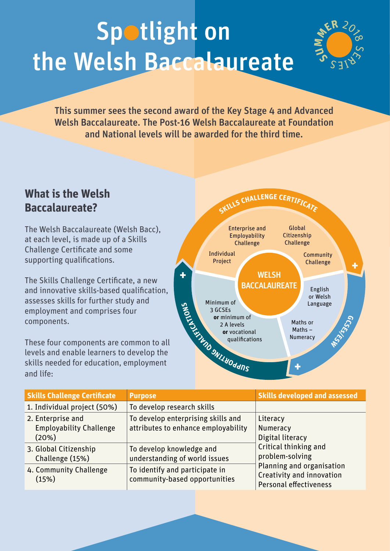## Spotlight on the Welsh Baccalaureate



This summer sees the second award of the Key Stage 4 and Advanced Welsh Baccalaureate. The Post-16 Welsh Baccalaureate at Foundation and National levels will be awarded for the third time.

## **What is the Welsh Baccalaureate?**

The Welsh Baccalaureate (Welsh Bacc), at each level, is made up of a Skills Challenge Certificate and some supporting qualifications.

The Skills Challenge Certificate, a new and innovative skills-based qualification, assesses skills for further study and employment and comprises four components.

These four components are common to all levels and enable learners to develop the skills needed for education, employment and life:



| <b>Skills Challenge Certificate</b>                          | <b>Purpose</b>                                                            | <b>Skills developed and assessed</b>                                                                                                                                            |
|--------------------------------------------------------------|---------------------------------------------------------------------------|---------------------------------------------------------------------------------------------------------------------------------------------------------------------------------|
| 1. Individual project (50%)                                  | To develop research skills                                                |                                                                                                                                                                                 |
| 2. Enterprise and<br><b>Employability Challenge</b><br>(20%) | To develop enterprising skills and<br>attributes to enhance employability | Literacy<br>Numeracy<br>Digital literacy<br>Critical thinking and<br>problem-solving<br>Planning and organisation<br>Creativity and innovation<br><b>Personal effectiveness</b> |
| 3. Global Citizenship<br>Challenge (15%)                     | To develop knowledge and<br>understanding of world issues                 |                                                                                                                                                                                 |
| 4. Community Challenge<br>(15%)                              | To identify and participate in<br>community-based opportunities           |                                                                                                                                                                                 |